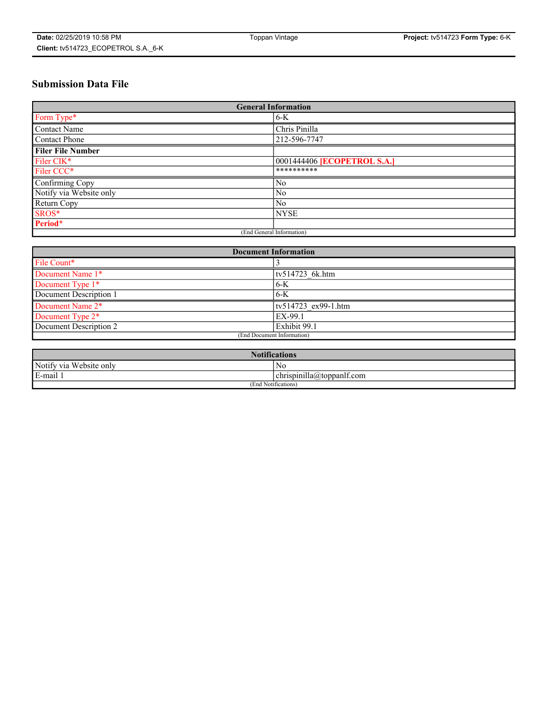# **Submission Data File**

| <b>General Information</b> |                             |
|----------------------------|-----------------------------|
| Form Type*                 | $6-K$                       |
| Contact Name               | Chris Pinilla               |
| <b>Contact Phone</b>       | 212-596-7747                |
| <b>Filer File Number</b>   |                             |
| Filer CIK*                 | 0001444406 [ECOPETROL S.A.] |
| Filer CCC*                 | **********                  |
| Confirming Copy            | N <sub>0</sub>              |
| Notify via Website only    | No                          |
| Return Copy                | No                          |
| SROS*                      | <b>NYSE</b>                 |
| Period*                    |                             |
| (End General Information)  |                             |

| <b>Document Information</b> |                        |
|-----------------------------|------------------------|
| File Count*                 |                        |
| Document Name 1*            | tv514723 6k.htm        |
| Document Type 1*            | $6-K$                  |
| Document Description 1      | $6-K$                  |
| Document Name 2*            | $ tv514723$ ex99-1.htm |
| Document Type 2*            | EX-99.1                |
| Document Description 2      | Exhibit 99.1           |
| (End Document Information)  |                        |

| <b>Notifications</b>    |                           |  |
|-------------------------|---------------------------|--|
| Notify via Website only | No                        |  |
| E-mail 1                | chrispinilla@toppanlf.com |  |
| (End Notifications)     |                           |  |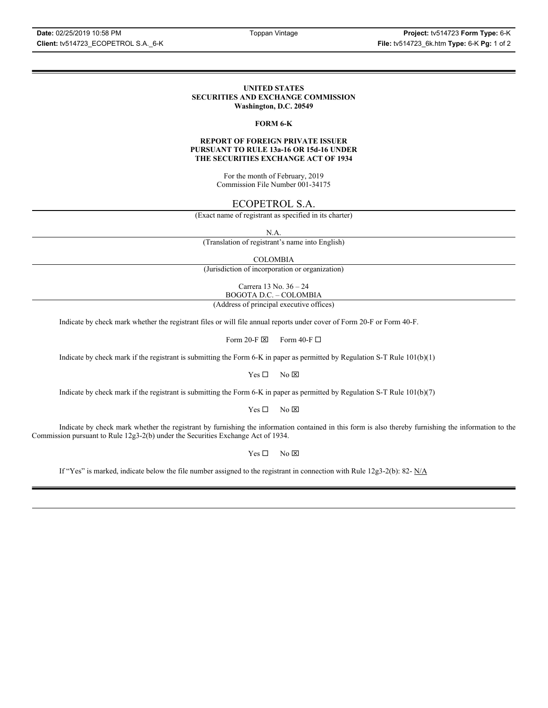#### **UNITED STATES SECURITIES AND EXCHANGE COMMISSION Washington, D.C. 20549**

### **FORM 6-K**

### **REPORT OF FOREIGN PRIVATE ISSUER PURSUANT TO RULE 13a-16 OR 15d-16 UNDER THE SECURITIES EXCHANGE ACT OF 1934**

For the month of February, 2019 Commission File Number 001-34175

## ECOPETROL S.A.

(Exact name of registrant as specified in its charter)

N.A.

(Translation of registrant's name into English)

COLOMBIA

(Jurisdiction of incorporation or organization)

Carrera 13 No. 36 – 24 BOGOTA D.C. – COLOMBIA

(Address of principal executive offices)

Indicate by check mark whether the registrant files or will file annual reports under cover of Form 20-F or Form 40-F.

Form 20-F  $\boxtimes$  Form 40-F  $\Box$ 

Indicate by check mark if the registrant is submitting the Form 6-K in paper as permitted by Regulation S-T Rule 101(b)(1)

 $Yes \Box$  No  $\boxtimes$ 

Indicate by check mark if the registrant is submitting the Form 6-K in paper as permitted by Regulation S-T Rule 101(b)(7)

 $Yes \Box$  No  $\boxtimes$ 

Indicate by check mark whether the registrant by furnishing the information contained in this form is also thereby furnishing the information to the Commission pursuant to Rule 12g3-2(b) under the Securities Exchange Act of 1934.

 $Yes \Box$  No  $\boxtimes$ 

If "Yes" is marked, indicate below the file number assigned to the registrant in connection with Rule 12g3-2(b): 82-  $N/A$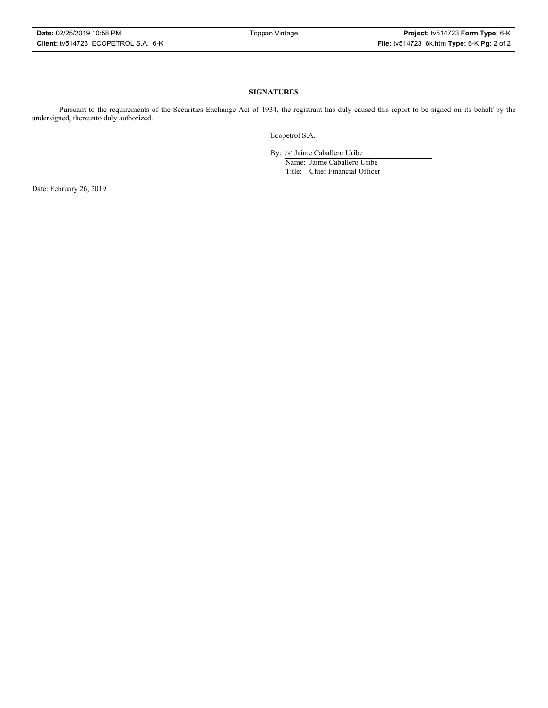### **SIGNATURES**

Pursuant to the requirements of the Securities Exchange Act of 1934, the registrant has duly caused this report to be signed on its behalf by the undersigned, thereunto duly authorized.

Ecopetrol S.A.

By: /s/ Jaime Caballero Uribe

Name: Jaime Caballero Uribe Title: Chief Financial Officer

Date: February 26, 2019